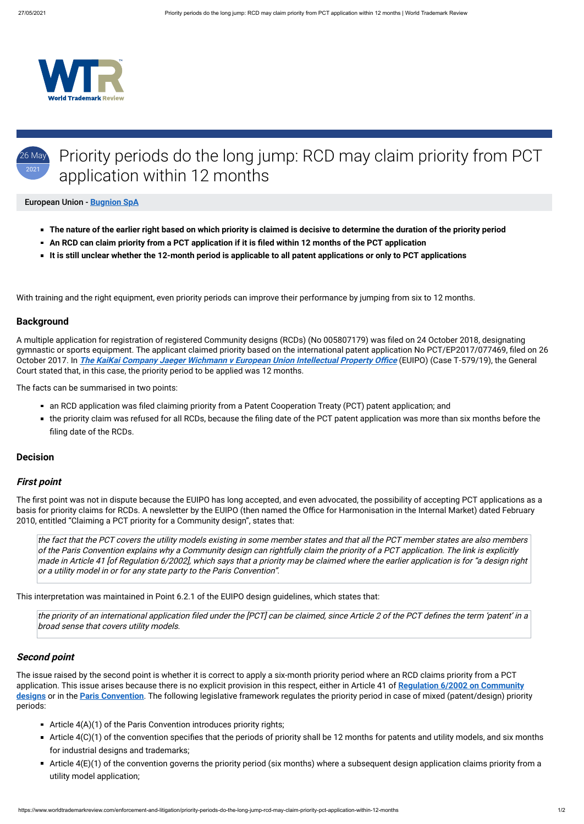

### 26 May 2021 Priority periods do the long jump: RCD may claim priority from PCT application within 12 months

#### European Union - **[Bugnion SpA](https://www.worldtrademarkreview.com/Daily/Contributors#Italy)**

- **The nature of the earlier right based on which priority is claimed is decisive to determine the duration of the priority period**
- **An RCD can claim priority from a PCT application if it is filed within 12 months of the PCT application**
- **It is still unclear whether the 12-month period is applicable to all patent applications or only to PCT applications**

A multiple application for registration of registered Community designs (RCDs) (No 005807179) was filed on 24 October 2018, designating gymnastic or sports equipment. The applicant claimed priority based on the international patent application No PCT/EP2017/077469, filed on 26 October 2017. In **The KaiKai Company Jaeger Wichmann v European Union Intellectual Property Office** (EUIPO) (Case T-579/19), the General Court stated that, in this case, the priority period to be applied was 12 months.

With training and the right equipment, even priority periods can improve their performance by jumping from six to 12 months.

## **Background**

The first point was not in dispute because the EUIPO has long accepted, and even advocated, the possibility of accepting PCT applications as a basis for priority claims for RCDs. A newsletter by the EUIPO (then named the Office for Harmonisation in the Internal Market) dated February 2010, entitled "Claiming a PCT priority for a Community design", states that:

The facts can be summarised in two points:

- an RCD application was filed claiming priority from a Patent Cooperation Treaty (PCT) patent application; and
- the priority claim was refused for all RCDs, because the filing date of the PCT patent application was more than six months before the filing date of the RCDs.

#### **Decision**

#### **First point**

- Article  $4(A)(1)$  of the Paris Convention introduces priority rights;
- Article  $4(C)(1)$  of the convention specifies that the periods of priority shall be 12 months for patents and utility models, and six months for industrial designs and trademarks;
- Article  $4(E)(1)$  of the convention governs the priority period (six months) where a subsequent design application claims priority from a utility model application;

the fact that the PCT covers the utility models existing in some member states and that all the PCT member states are also members of the Paris Convention explains why a Community design can rightfully claim the priority of a PCT application. The link is explicitly made in Article 41 [of Regulation 6/2002], which says that a priority may be claimed where the earlier application is for "a design right or a utility model in or for any state party to the Paris Convention".

This interpretation was maintained in Point 6.2.1 of the EUIPO design guidelines, which states that:

the priority of an international application filed under the [PCT] can be claimed, since Article 2 of the PCT defines the term 'patent' in a

# **Second point**

The issue raised by the second point is whether it is correct to apply a six-month priority period where an RCD claims priority from a PCT [application. This issue arises because there is no explicit provision in this respect, either in Article 41 of](https://eur-lex.europa.eu/legal-content/EN/ALL/?uri=celex%3A32002R0006) **Regulation 6/2002 on Community designs** or in the **[Paris Convention](https://www.wipo.int/treaties/en/ip/paris/)**. The following legislative framework regulates the priority period in case of mixed (patent/design) priority periods: